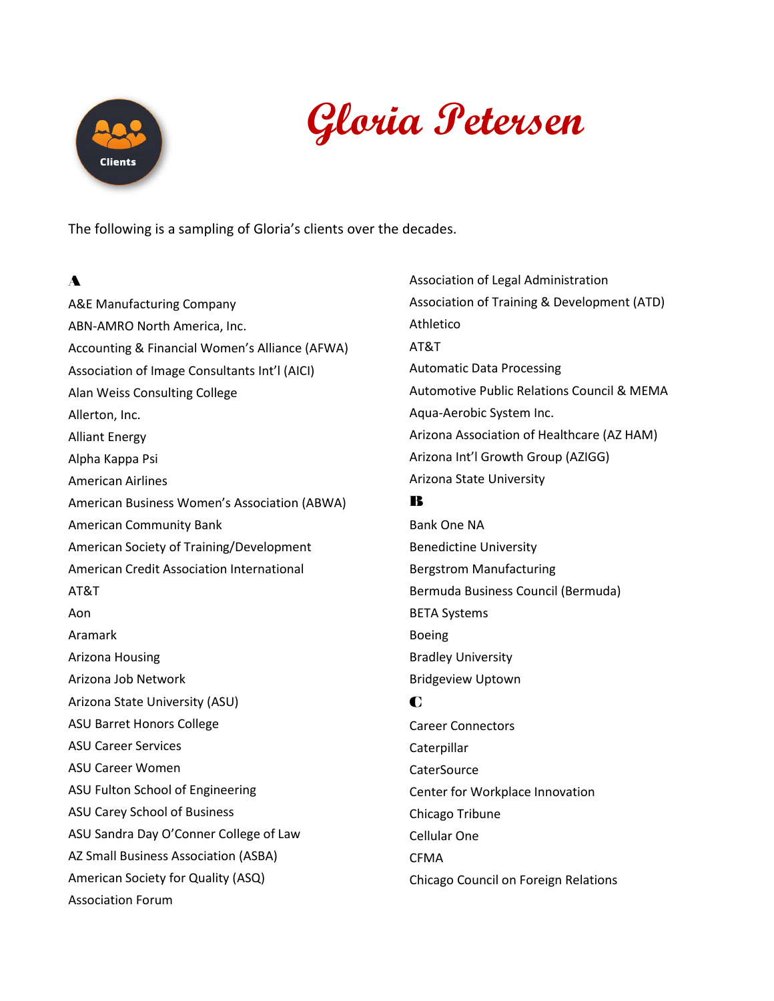

# **Gloria Petersen**

The following is a sampling of Gloria's clients over the decades.

# A

A&E Manufacturing Company ABN-AMRO North America, Inc. Accounting & Financial Women's Alliance (AFWA) Association of Image Consultants Int'l (AICI) Alan Weiss Consulting College Allerton, Inc. Alliant Energy Alpha Kappa Psi American Airlines American Business Women's Association (ABWA) American Community Bank American Society of Training/Development American Credit Association International AT&T Aon Aramark Arizona Housing Arizona Job Network Arizona State University (ASU) ASU Barret Honors College ASU Career Services ASU Career Women ASU Fulton School of Engineering ASU Carey School of Business ASU Sandra Day O'Conner College of Law AZ Small Business Association (ASBA) American Society for Quality (ASQ) Association Forum

Association of Legal Administration Association of Training & Development (ATD) Athletico AT&T Automatic Data Processing Automotive Public Relations Council & MEMA Aqua-Aerobic System Inc. Arizona Association of Healthcare (AZ HAM) Arizona Int'l Growth Group (AZIGG) Arizona State University B Bank One NA Benedictine University Bergstrom Manufacturing Bermuda Business Council (Bermuda) BETA Systems Boeing Bradley University Bridgeview Uptown C Career Connectors Caterpillar **CaterSource** Center for Workplace Innovation Chicago Tribune

Cellular One

**CFMA** 

Chicago Council on Foreign Relations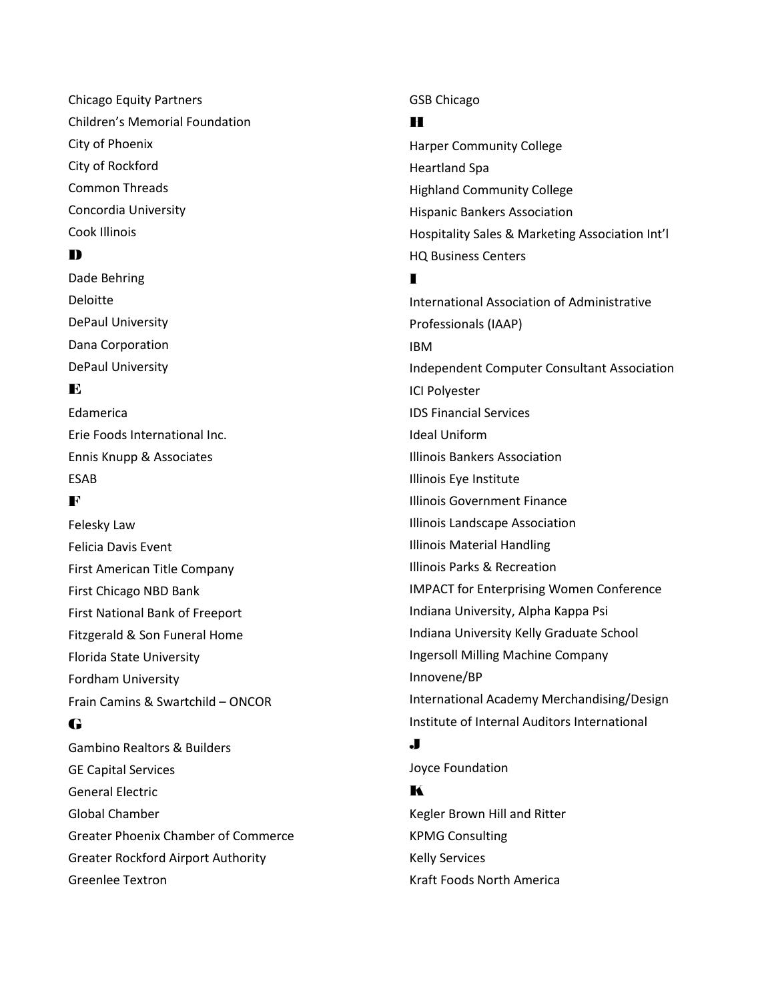Chicago Equity Partners Children's Memorial Foundation City of Phoenix City of Rockford Common Threads Concordia University Cook Illinois

#### D

Dade Behring Deloitte DePaul University Dana Corporation DePaul University

## $\mathbf{E}$

Edamerica Erie Foods International Inc. Ennis Knupp & Associates ESAB

#### F

Felesky Law Felicia Davis Event First American Title Company First Chicago NBD Bank First National Bank of Freeport Fitzgerald & Son Funeral Home Florida State University Fordham University Frain Camins & Swartchild – ONCOR

#### G

Gambino Realtors & Builders GE Capital Services General Electric Global Chamber Greater Phoenix Chamber of Commerce Greater Rockford Airport Authority Greenlee Textron

#### GSB Chicago

#### H

Harper Community College Heartland Spa Highland Community College Hispanic Bankers Association Hospitality Sales & Marketing Association Int'l HQ Business Centers

#### $\blacksquare$

International Association of Administrative Professionals (IAAP) IBM Independent Computer Consultant Association ICI Polyester IDS Financial Services Ideal Uniform Illinois Bankers Association Illinois Eye Institute Illinois Government Finance Illinois Landscape Association Illinois Material Handling Illinois Parks & Recreation IMPACT for Enterprising Women Conference Indiana University, Alpha Kappa Psi Indiana University Kelly Graduate School Ingersoll Milling Machine Company Innovene/BP International Academy Merchandising/Design Institute of Internal Auditors International

#### J

Joyce Foundation K Kegler Brown Hill and Ritter KPMG Consulting Kelly Services Kraft Foods North America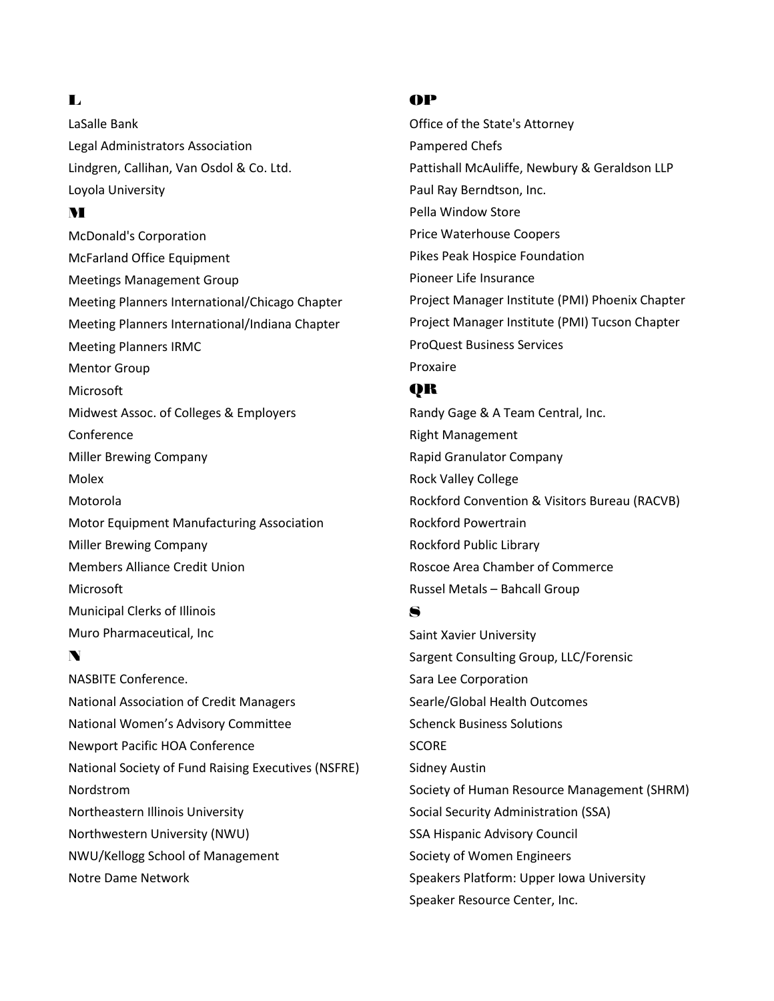#### $\blacksquare$

LaSalle Bank Legal Administrators Association Lindgren, Callihan, Van Osdol & Co. Ltd. Loyola University

## M

McDonald's Corporation McFarland Office Equipment Meetings Management Group Meeting Planners International/Chicago Chapter Meeting Planners International/Indiana Chapter Meeting Planners IRMC Mentor Group Microsoft Midwest Assoc. of Colleges & Employers Conference Miller Brewing Company Molex Motorola Motor Equipment Manufacturing Association Miller Brewing Company Members Alliance Credit Union Microsoft Municipal Clerks of Illinois Muro Pharmaceutical, Inc

# N

NASBITE Conference. National Association of Credit Managers National Women's Advisory Committee Newport Pacific HOA Conference National Society of Fund Raising Executives (NSFRE) Nordstrom Northeastern Illinois University Northwestern University (NWU) NWU/Kellogg School of Management Notre Dame Network

#### OP

Office of the State's Attorney Pampered Chefs Pattishall McAuliffe, Newbury & Geraldson LLP Paul Ray Berndtson, Inc. Pella Window Store Price Waterhouse Coopers Pikes Peak Hospice Foundation Pioneer Life Insurance Project Manager Institute (PMI) Phoenix Chapter Project Manager Institute (PMI) Tucson Chapter ProQuest Business Services Proxaire

# QR

Randy Gage & A Team Central, Inc. Right Management Rapid Granulator Company Rock Valley College Rockford Convention & Visitors Bureau (RACVB) Rockford Powertrain Rockford Public Library Roscoe Area Chamber of Commerce Russel Metals – Bahcall Group

## S

Saint Xavier University Sargent Consulting Group, LLC/Forensic Sara Lee Corporation Searle/Global Health Outcomes Schenck Business Solutions **SCORE** Sidney Austin Society of Human Resource Management (SHRM) Social Security Administration (SSA) SSA Hispanic Advisory Council Society of Women Engineers Speakers Platform: Upper Iowa University Speaker Resource Center, Inc.